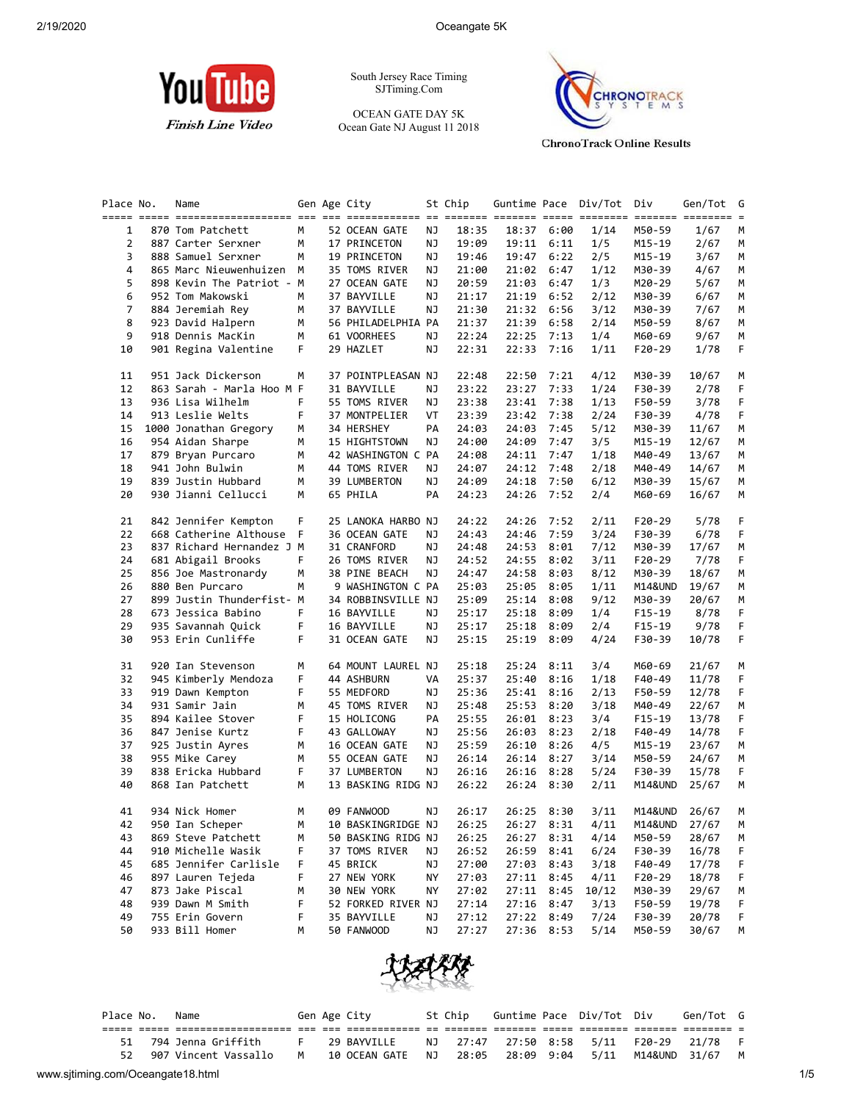

South Jersey Race Timing SJTiming.Com

OCEAN GATE DAY 5K Ocean Gate NJ August 11 2018



**ChronoTrack Online Results** 

| Place No.      | Name                      |        | Gen Age City                       |    | St Chip        |                |              | Guntime Pace Div/Tot Div |                   | Gen/Tot        | G       |
|----------------|---------------------------|--------|------------------------------------|----|----------------|----------------|--------------|--------------------------|-------------------|----------------|---------|
|                |                           |        |                                    |    |                |                |              |                          |                   |                |         |
| 1              | 870 Tom Patchett          | M      | 52 OCEAN GATE                      | ΝJ | 18:35          |                | 18:37 6:00   | 1/14                     | M50-59            | 1/67           | M       |
| 2              | 887 Carter Serxner        | м      | 17 PRINCETON                       | ΝJ | 19:09          |                | 19:11 6:11   | 1/5                      | M15-19            | 2/67           | M       |
| 3              | 888 Samuel Serxner        | M      | 19 PRINCETON                       | ΝJ | 19:46          | 19:47          | 6:22         | 2/5                      | M15-19            | 3/67           | М       |
| 4              | 865 Marc Nieuwenhuizen    | М      | 35 TOMS RIVER                      | ΝJ | 21:00          | 21:02          | 6:47         | 1/12                     | M30-39            | 4/67           | М       |
| 5              | 898 Kevin The Patriot - M |        | 27 OCEAN GATE                      | ΝJ | 20:59          | 21:03          | 6:47         | 1/3                      | M20-29            | 5/67           | М       |
| 6              | 952 Tom Makowski          | М      | 37 BAYVILLE                        | ΝJ | 21:17          | 21:19          | 6:52         | 2/12                     | M30-39            | 6/67           | M       |
| $\overline{7}$ | 884 Jeremiah Rey          | М      | 37 BAYVILLE                        | ΝJ | 21:30          | 21:32          | 6:56         | 3/12                     | M30-39            | 7/67           | М       |
| 8              | 923 David Halpern         | М      | 56 PHILADELPHIA PA                 |    | 21:37          | 21:39          | 6:58         | 2/14                     | M50-59            | 8/67           | М       |
| 9              | 918 Dennis MacKin         | М      | 61 VOORHEES                        | ΝJ | 22:24          | 22:25          | 7:13         | 1/4                      | M60-69            | 9/67           | М       |
| 10             | 901 Regina Valentine      | F      | 29 HAZLET                          | ΝJ | 22:31          | 22:33          | 7:16         | 1/11                     | $F20-29$          | 1/78           | F       |
| 11             | 951 Jack Dickerson        | м      | 37 POINTPLEASAN NJ                 |    | 22:48          | 22:50          | 7:21         | 4/12                     | M30-39            | 10/67          | М       |
| 12             | 863 Sarah - Marla Hoo M F |        | 31 BAYVILLE                        | ΝJ | 23:22          | 23:27          | 7:33         | 1/24                     | F30-39            | 2/78           | F       |
| 13             | 936 Lisa Wilhelm          | F      | 55 TOMS RIVER                      | ΝJ | 23:38          | 23:41          | 7:38         | 1/13                     | F50-59            | 3/78           | F       |
| 14             | 913 Leslie Welts          | F      | 37 MONTPELIER                      | VT | 23:39          | 23:42          | 7:38         | 2/24                     | F30-39            | 4/78           | F       |
| 15             | 1000 Jonathan Gregory     | м      | 34 HERSHEY                         | PA | 24:03          | 24:03          | 7:45         | 5/12                     | M30-39            | 11/67          | M       |
| 16             | 954 Aidan Sharpe          | м      | 15 HIGHTSTOWN                      | ΝJ | 24:00          | 24:09          | 7:47         | 3/5                      | M15-19            | 12/67          | М       |
| 17             | 879 Bryan Purcaro         | М      | 42 WASHINGTON C PA                 |    | 24:08          | 24:11          | 7:47         | 1/18                     | M40-49            | 13/67          | M       |
| 18             | 941 John Bulwin           | М      | 44 TOMS RIVER                      | ΝJ | 24:07          | 24:12          | 7:48         | 2/18                     | M40-49            | 14/67          | М       |
| 19             | 839 Justin Hubbard        | М      | 39 LUMBERTON                       | ΝJ | 24:09          | 24:18          | 7:50         | 6/12                     | M30-39            | 15/67          | М       |
| 20             | 930 Jianni Cellucci       | M      | 65 PHILA                           | PA | 24:23          | 24:26          | 7:52         | 2/4                      | M60-69            | 16/67          | М       |
| 21             | 842 Jennifer Kempton      | F      | 25 LANOKA HARBO NJ                 |    | 24:22          | 24:26          | 7:52         | 2/11                     | F20-29            | 5/78           | F       |
| 22             | 668 Catherine Althouse F  |        | 36 OCEAN GATE                      | ΝJ | 24:43          | 24:46          | 7:59         | 3/24                     | F30-39            | 6/78           | F       |
| 23             | 837 Richard Hernandez J M |        | 31 CRANFORD                        | ΝJ | 24:48          | 24:53          | 8:01         | 7/12                     | M30-39            | 17/67          | M       |
| 24             | 681 Abigail Brooks        | F.     | 26 TOMS RIVER                      | ΝJ | 24:52          | 24:55          | 8:02         | 3/11                     | F20-29            | 7/78           | F       |
| 25             | 856 Joe Mastronardy       | М      | 38 PINE BEACH                      | ΝJ | 24:47          | 24:58          | 8:03         | 8/12                     | M30-39            | 18/67          | М       |
| 26             | 880 Ben Purcaro           | М      | 9 WASHINGTON C PA                  |    | 25:03          | 25:05          | 8:05         | 1/11                     | M14&UND           | 19/67          | М       |
| 27             | 899 Justin Thunderfist- M |        | 34 ROBBINSVILLE NJ                 |    | 25:09          | 25:14          | 8:08         | 9/12                     | M30-39            | 20/67          | М       |
| 28             | 673 Jessica Babino        | F.     | 16 BAYVILLE                        | ΝJ | 25:17          | 25:18          | 8:09         | 1/4                      | $F15-19$          | 8/78           | F       |
| 29             | 935 Savannah Quick        | F      | 16 BAYVILLE                        | ΝJ | 25:17          | 25:18          | 8:09         | 2/4                      | $F15-19$          | 9/78           | F       |
| 30             | 953 Erin Cunliffe         | F.     | 31 OCEAN GATE                      | ΝJ | 25:15          | 25:19          | 8:09         | 4/24                     | F30-39            | 10/78          | F       |
| 31             | 920 Ian Stevenson         | М      | 64 MOUNT LAUREL NJ                 |    | 25:18          | 25:24          | 8:11         | 3/4                      | M60-69            | 21/67          | M       |
| 32             | 945 Kimberly Mendoza      | F      | 44 ASHBURN                         | VA | 25:37          | 25:40          | 8:16         | 1/18                     | F40-49            | 11/78          | F       |
| 33             | 919 Dawn Kempton          | F      | 55 MEDFORD                         | ΝJ | 25:36          | 25:41          | 8:16         | 2/13                     | F50-59            | 12/78          | F.      |
| 34             | 931 Samir Jain            | М      | 45 TOMS RIVER                      | ΝJ | 25:48          | 25:53          | 8:20         | 3/18                     | M40-49            | 22/67          | M       |
| 35             | 894 Kailee Stover         | F      | 15 HOLICONG                        | PA | 25:55          | 26:01          | 8:23         | 3/4                      | $F15-19$          | 13/78          | F       |
| 36             | 847 Jenise Kurtz          | F      | 43 GALLOWAY                        | ΝJ | 25:56          | 26:03          | 8:23         | 2/18                     | F40-49            | 14/78          | F       |
| 37             | 925 Justin Ayres          | М      | 16 OCEAN GATE                      | ΝJ | 25:59          | 26:10          | 8:26         | 4/5                      | M15-19            | 23/67          | M       |
| 38             | 955 Mike Carey            | М      | 55 OCEAN GATE                      | ΝJ | 26:14          | 26:14          | 8:27         | 3/14                     | M50-59            | 24/67          | М       |
|                | 838 Ericka Hubbard        |        |                                    |    |                |                |              |                          |                   |                |         |
| 39<br>40       | 868 Ian Patchett          | F<br>М | 37 LUMBERTON<br>13 BASKING RIDG NJ | ΝJ | 26:16<br>26:22 | 26:16<br>26:24 | 8:28<br>8:30 | 5/24<br>2/11             | F30-39<br>M14&UND | 15/78<br>25/67 | F.<br>М |
| 41             | 934 Nick Homer            | M      | 09 FANWOOD                         | ΝJ | 26:17          |                | 26:25 8:30   | 3/11                     | M14&UND           | 26/67          | M       |
| 42             | 950 Ian Scheper           | M      | 10 BASKINGRIDGE NJ                 |    | 26:25          |                | 26:27 8:31   | 4/11                     |                   | M14&UND 27/67  | M       |
|                |                           |        |                                    |    |                |                |              |                          |                   |                |         |
| 43             | 869 Steve Patchett        | M      | 50 BASKING RIDG NJ                 |    | 26:25          |                | 26:27 8:31   | 4/14                     | M50-59            | 28/67          | M       |
| 44             | 910 Michelle Wasik        | F      | 37 TOMS RIVER                      | ΝJ | 26:52          | 26:59          | 8:41         | 6/24                     | F30-39            | 16/78          | F       |
| 45             | 685 Jennifer Carlisle     | F      | 45 BRICK                           | ΝJ | 27:00          | 27:03          | 8:43         | 3/18                     | F40-49            | 17/78          | F       |
| 46             | 897 Lauren Tejeda         | F      | 27 NEW YORK                        | ΝY | 27:03          | 27:11          | 8:45         | 4/11                     | F20-29            | 18/78          | F       |
| 47             | 873 Jake Piscal           | м      | 30 NEW YORK                        | ΝY | 27:02          | 27:11          | 8:45         | 10/12                    | M30-39            | 29/67          | M       |
| 48             | 939 Dawn M Smith          | F      | 52 FORKED RIVER NJ                 |    | 27:14          | 27:16          | 8:47         | 3/13                     | F50-59            | 19/78          | F       |
| 49             | 755 Erin Govern           | F      | 35 BAYVILLE                        | ΝJ | 27:12          |                | 27:22 8:49   | 7/24                     | F30-39            | 20/78          | F       |
| 50             | 933 Bill Homer            | М      | 50 FANWOOD                         | ΝJ | 27:27          | 27:36          | 8:53         | 5/14                     | M50-59            | 30/67          | М       |
|                |                           |        |                                    |    |                |                |              |                          |                   |                |         |



| NJ 27:47 27:50 8:58 5/11 F20-29 21/78 |  |
|---------------------------------------|--|
|                                       |  |
|                                       |  |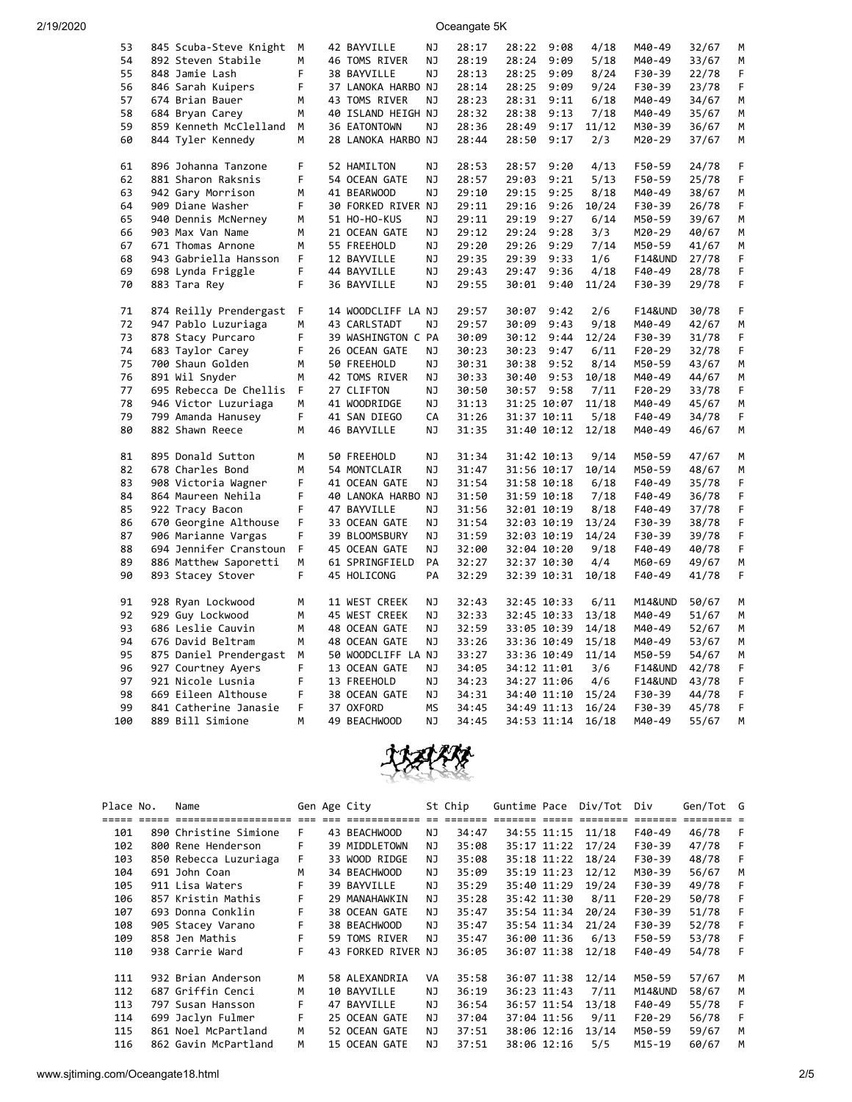2/19/2020 Oceangate 5K

| 53  | 845 Scuba-Steve Knight | М | 42 BAYVILLE        | ΝJ        | 28:17 | 28:22       | 9:08 | 4/18  | M40-49             | 32/67 | М  |
|-----|------------------------|---|--------------------|-----------|-------|-------------|------|-------|--------------------|-------|----|
| 54  | 892 Steven Stabile     | м | 46 TOMS RIVER      | ΝJ        | 28:19 | 28:24       | 9:09 | 5/18  | M40-49             | 33/67 | М  |
| 55  | 848 Jamie Lash         | F | 38 BAYVILLE        | <b>NJ</b> | 28:13 | 28:25       | 9:09 | 8/24  | F30-39             | 22/78 | F  |
| 56  | 846 Sarah Kuipers      | F | 37 LANOKA HARBO NJ |           | 28:14 | 28:25       | 9:09 | 9/24  | F30-39             | 23/78 | F  |
| 57  | 674 Brian Bauer        | м | 43 TOMS RIVER      | NJ        | 28:23 | 28:31       | 9:11 | 6/18  | M40-49             | 34/67 | М  |
| 58  | 684 Bryan Carey        | м | 40 ISLAND HEIGH NJ |           | 28:32 | 28:38       | 9:13 | 7/18  | M40-49             | 35/67 | M  |
| 59  | 859 Kenneth McClelland | М | 36 EATONTOWN       | ΝJ        | 28:36 | 28:49       | 9:17 | 11/12 | M30-39             | 36/67 | М  |
| 60  | 844 Tyler Kennedy      | М | 28 LANOKA HARBO NJ |           | 28:44 | 28:50       | 9:17 | 2/3   | M20-29             | 37/67 | М  |
|     |                        |   |                    |           |       |             |      |       |                    |       |    |
| 61  | 896 Johanna Tanzone    | F | 52 HAMILTON        | ΝJ        | 28:53 | 28:57       | 9:20 | 4/13  | F50-59             | 24/78 | F  |
| 62  | 881 Sharon Raksnis     | F | 54 OCEAN GATE      | NJ        | 28:57 | 29:03       | 9:21 | 5/13  | F50-59             | 25/78 | F  |
| 63  | 942 Gary Morrison      | м | 41 BEARWOOD        | NJ        | 29:10 | 29:15       | 9:25 | 8/18  | M40-49             | 38/67 | M  |
| 64  | 909 Diane Washer       | F | 30 FORKED RIVER NJ |           | 29:11 | 29:16       | 9:26 | 10/24 | F30-39             | 26/78 | F  |
| 65  | 940 Dennis McNerney    | М | 51 HO-HO-KUS       | NJ        | 29:11 | 29:19       | 9:27 | 6/14  | M50-59             | 39/67 | M  |
| 66  | 903 Max Van Name       | м | 21 OCEAN GATE      | ΝJ        | 29:12 | 29:24       | 9:28 | 3/3   | M20-29             | 40/67 | М  |
| 67  | 671 Thomas Arnone      | м | 55 FREEHOLD        | NJ        | 29:20 | 29:26       | 9:29 | 7/14  | M50-59             | 41/67 | М  |
| 68  | 943 Gabriella Hansson  | F | 12 BAYVILLE        | NJ        | 29:35 | 29:39       | 9:33 | 1/6   | <b>F14&amp;UND</b> | 27/78 | F  |
| 69  | 698 Lynda Friggle      | F | 44 BAYVILLE        | ΝJ        | 29:43 | 29:47       | 9:36 | 4/18  | F40-49             | 28/78 | F  |
| 70  | 883 Tara Rey           | F | 36 BAYVILLE        | ΝJ        | 29:55 | 30:01       | 9:40 | 11/24 | F30-39             | 29/78 | F  |
|     |                        |   |                    |           |       |             |      |       |                    |       |    |
| 71  | 874 Reilly Prendergast | F | 14 WOODCLIFF LA NJ |           | 29:57 | 30:07       | 9:42 | 2/6   | <b>F14&amp;UND</b> | 30/78 | F  |
| 72  | 947 Pablo Luzuriaga    | м | 43 CARLSTADT       | ΝJ        | 29:57 | 30:09       | 9:43 | 9/18  | M40-49             | 42/67 | М  |
| 73  | 878 Stacy Purcaro      | F | 39 WASHINGTON C PA |           | 30:09 | 30:12       | 9:44 | 12/24 | F30-39             | 31/78 | F  |
| 74  | 683 Taylor Carey       | F | 26 OCEAN GATE      | NJ        | 30:23 | 30:23       | 9:47 | 6/11  | F20-29             | 32/78 | F. |
| 75  | 700 Shaun Golden       | М | 50 FREEHOLD        | ΝJ        | 30:31 | 30:38       | 9:52 | 8/14  | M50-59             | 43/67 | М  |
| 76  | 891 Wil Snyder         | M | 42 TOMS RIVER      | NJ        | 30:33 | 30:40       | 9:53 | 10/18 | M40-49             | 44/67 | M  |
| 77  | 695 Rebecca De Chellis | F | 27 CLIFTON         | NJ        | 30:50 | 30:57       | 9:58 | 7/11  | F20-29             | 33/78 | F  |
| 78  | 946 Victor Luzuriaga   | М | 41 WOODRIDGE       | ΝJ        | 31:13 | 31:25 10:07 |      | 11/18 | M40-49             | 45/67 | М  |
| 79  | 799 Amanda Hanusey     | F | 41 SAN DIEGO       | CA        | 31:26 | 31:37 10:11 |      | 5/18  | F40-49             | 34/78 | F  |
| 80  | 882 Shawn Reece        | M | 46 BAYVILLE        | NJ        | 31:35 | 31:40 10:12 |      | 12/18 | M40-49             | 46/67 | M  |
|     |                        |   |                    |           |       |             |      |       |                    |       |    |
| 81  | 895 Donald Sutton      | M | 50 FREEHOLD        | NJ        | 31:34 | 31:42 10:13 |      | 9/14  | M50-59             | 47/67 | M  |
| 82  | 678 Charles Bond       | M | 54 MONTCLAIR       | ΝJ        | 31:47 | 31:56 10:17 |      | 10/14 | M50-59             | 48/67 | М  |
| 83  | 908 Victoria Wagner    | F | 41 OCEAN GATE      | NJ        | 31:54 | 31:58 10:18 |      | 6/18  | F40-49             | 35/78 | F  |
| 84  | 864 Maureen Nehila     | F | 40 LANOKA HARBO NJ |           | 31:50 | 31:59 10:18 |      | 7/18  | F40-49             | 36/78 | F  |
| 85  | 922 Tracy Bacon        | F | 47 BAYVILLE        | NJ        | 31:56 | 32:01 10:19 |      | 8/18  | F40-49             | 37/78 | F  |
| 86  | 670 Georgine Althouse  | F | 33 OCEAN GATE      | ΝJ        | 31:54 | 32:03 10:19 |      | 13/24 | F30-39             | 38/78 | F  |
| 87  | 906 Marianne Vargas    | F | 39 BLOOMSBURY      | ΝJ        | 31:59 | 32:03 10:19 |      | 14/24 | F30-39             | 39/78 | F  |
| 88  | 694 Jennifer Cranstoun | F | 45 OCEAN GATE      | ΝJ        | 32:00 | 32:04 10:20 |      | 9/18  | F40-49             | 40/78 | F  |
| 89  | 886 Matthew Saporetti  | М | 61 SPRINGFIELD     | PA        | 32:27 | 32:37 10:30 |      | 4/4   | M60-69             | 49/67 | M  |
| 90  | 893 Stacey Stover      | F | 45 HOLICONG        | PA        | 32:29 | 32:39 10:31 |      | 10/18 | F40-49             | 41/78 | F  |
|     |                        |   |                    |           |       |             |      |       |                    |       |    |
| 91  | 928 Ryan Lockwood      | м | 11 WEST CREEK      | ΝJ        | 32:43 | 32:45 10:33 |      | 6/11  | M14&UND            | 50/67 | М  |
| 92  | 929 Guy Lockwood       | М | 45 WEST CREEK      | NJ        | 32:33 | 32:45 10:33 |      | 13/18 | M40-49             | 51/67 | М  |
| 93  | 686 Leslie Cauvin      | м | 48 OCEAN GATE      | ΝJ        | 32:59 | 33:05 10:39 |      | 14/18 | M40-49             | 52/67 | M  |
| 94  | 676 David Beltram      | M | 48 OCEAN GATE      | ΝJ        | 33:26 | 33:36 10:49 |      | 15/18 | M40-49             | 53/67 | М  |
| 95  | 875 Daniel Prendergast | М | 50 WOODCLIFF LA NJ |           | 33:27 | 33:36 10:49 |      | 11/14 | M50-59             | 54/67 | M  |
| 96  | 927 Courtney Ayers     | F | 13 OCEAN GATE      | NJ        | 34:05 | 34:12 11:01 |      | 3/6   | <b>F14&amp;UND</b> | 42/78 | F  |
| 97  | 921 Nicole Lusnia      | F | 13 FREEHOLD        | ΝJ        | 34:23 | 34:27 11:06 |      | 4/6   | F14&UND            | 43/78 | F  |
| 98  | 669 Eileen Althouse    | F | 38 OCEAN GATE      | NJ        | 34:31 | 34:40 11:10 |      | 15/24 | F30-39             | 44/78 | F  |
| 99  | 841 Catherine Janasie  | F | 37 OXFORD          | <b>MS</b> | 34:45 | 34:49 11:13 |      | 16/24 | F30-39             | 45/78 | F  |
| 100 | 889 Bill Simione       | M | 49 BEACHWOOD       | NJ        | 34:45 | 34:53 11:14 |      | 16/18 | M40-49             | 55/67 | M  |
|     |                        |   |                    |           |       |             |      |       |                    |       |    |



| Place No. | Name                  |   | Gen Age City       |     | St Chip |             |             | Guntime Pace Div/Tot | Div                | Gen/Tot G |   |
|-----------|-----------------------|---|--------------------|-----|---------|-------------|-------------|----------------------|--------------------|-----------|---|
|           |                       |   |                    |     |         |             |             |                      |                    |           |   |
| 101       | 890 Christine Simione | F | 43 BEACHWOOD       | NJ. | 34:47   | 34:55 11:15 |             | 11/18                | F40-49             | 46/78     | F |
| 102       | 800 Rene Henderson    | F | 39 MIDDLETOWN      | ΝJ  | 35:08   |             | 35:17 11:22 | 17/24                | F30-39             | 47/78     | F |
| 103       | 850 Rebecca Luzuriaga | F | 33 WOOD RIDGE      | ΝJ  | 35:08   |             | 35:18 11:22 | 18/24                | F30-39             | 48/78     | F |
| 104       | 691 John Coan         | м | 34 BEACHWOOD       | ΝJ  | 35:09   |             | 35:19 11:23 | 12/12                | M30-39             | 56/67     | м |
| 105       | 911 Lisa Waters       | F | 39 BAYVILLE        | ΝJ  | 35:29   |             | 35:40 11:29 | 19/24                | F30-39             | 49/78     | F |
| 106       | 857 Kristin Mathis    | F | 29 MANAHAWKIN      | ΝJ  | 35:28   |             | 35:42 11:30 | 8/11                 | $F20-29$           | 50/78     | F |
| 107       | 693 Donna Conklin     | F | 38 OCEAN GATE      | NJ. | 35:47   |             | 35:54 11:34 | 20/24                | F30-39             | 51/78     | F |
| 108       | 905 Stacey Varano     | F | 38 BEACHWOOD       | NJ. | 35:47   |             | 35:54 11:34 | 21/24                | F30-39             | 52/78     | F |
| 109       | 858 Jen Mathis        |   | 59 TOMS RIVER      | NJ  | 35:47   |             | 36:00 11:36 | 6/13                 | F50-59             | 53/78     |   |
| 110       | 938 Carrie Ward       | F | 43 FORKED RIVER NJ |     | 36:05   |             | 36:07 11:38 | 12/18                | F40-49             | 54/78     | F |
|           |                       |   |                    |     |         |             |             |                      |                    |           |   |
| 111       | 932 Brian Anderson    | м | 58 ALEXANDRIA      | VA  | 35:58   |             | 36:07 11:38 | 12/14                | M50-59             | 57/67     | м |
| 112       | 687 Griffin Cenci     | м | 10 BAYVILLE        | NJ. | 36:19   | 36:23 11:43 |             | 7/11                 | <b>M14&amp;UND</b> | 58/67     | M |
| 113       | 797 Susan Hansson     | F | 47 BAYVILLE        | NJ. | 36:54   |             | 36:57 11:54 | 13/18                | F40-49             | 55/78     | F |
| 114       | 699 Jaclyn Fulmer     | F | 25 OCEAN GATE      | ΝJ  | 37:04   |             | 37:04 11:56 | 9/11                 | $F20-29$           | 56/78     |   |
| 115       | 861 Noel McPartland   | М | 52 OCEAN GATE      | NJ. | 37:51   |             | 38:06 12:16 | 13/14                | M50-59             | 59/67     | M |
| 116       | 862 Gavin McPartland  | М | 15 OCEAN GATE      | NJ  | 37:51   | 38:06 12:16 |             | 5/5                  | $M15 - 19$         | 60/67     | м |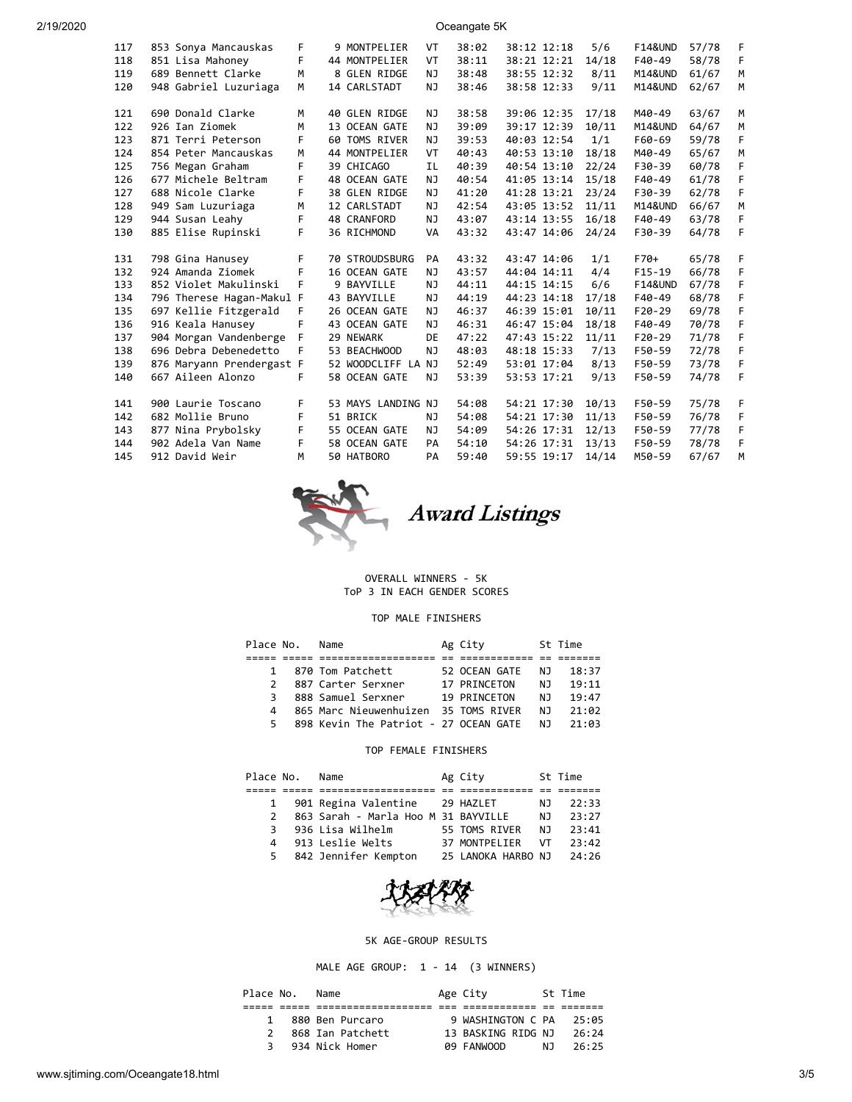| 2/19/2020 | Oceangate 5K |  |                           |      |  |                    |           |       |             |       |                    |       |   |
|-----------|--------------|--|---------------------------|------|--|--------------------|-----------|-------|-------------|-------|--------------------|-------|---|
|           | 117          |  | 853 Sonya Mancauskas      | F.   |  | 9 MONTPELIER       | VT        | 38:02 | 38:12 12:18 | 5/6   | <b>F14&amp;UND</b> | 57/78 | F |
|           | 118          |  | 851 Lisa Mahoney          | F    |  | 44 MONTPELIER      | VT        | 38:11 | 38:21 12:21 | 14/18 | F40-49             | 58/78 | F |
|           | 119          |  | 689 Bennett Clarke        | M    |  | 8 GLEN RIDGE       | NJ.       | 38:48 | 38:55 12:32 | 8/11  | M14&UND            | 61/67 | М |
|           | 120          |  | 948 Gabriel Luzuriaga     | M    |  | 14 CARLSTADT       | NJ        | 38:46 | 38:58 12:33 | 9/11  | M14&UND            | 62/67 | М |
|           | 121          |  | 690 Donald Clarke         | M    |  | 40 GLEN RIDGE      | ΝJ        | 38:58 | 39:06 12:35 | 17/18 | M40-49             | 63/67 | М |
|           | 122          |  | 926 Ian Ziomek            | M    |  | 13 OCEAN GATE      | ΝJ        | 39:09 | 39:17 12:39 | 10/11 | M14&UND            | 64/67 | М |
|           | 123          |  | 871 Terri Peterson        | F.   |  | 60 TOMS RIVER      | NJ        | 39:53 | 40:03 12:54 | 1/1   | F60-69             | 59/78 | F |
|           | 124          |  | 854 Peter Mancauskas      | M    |  | 44 MONTPELIER      | VT        | 40:43 | 40:53 13:10 | 18/18 | M40-49             | 65/67 | М |
|           | 125          |  | 756 Megan Graham          | F.   |  | 39 CHICAGO         | <b>IL</b> | 40:39 | 40:54 13:10 | 22/24 | F30-39             | 60/78 | F |
|           | 126          |  | 677 Michele Beltram       | F.   |  | 48 OCEAN GATE      | NJ        | 40:54 | 41:05 13:14 | 15/18 | F40-49             | 61/78 | F |
|           | 127          |  | 688 Nicole Clarke         | F    |  | 38 GLEN RIDGE      | NJ        | 41:20 | 41:28 13:21 | 23/24 | F30-39             | 62/78 | F |
|           | 128          |  | 949 Sam Luzuriaga         | M    |  | 12 CARLSTADT       | NJ        | 42:54 | 43:05 13:52 | 11/11 | M14&UND            | 66/67 | M |
|           | 129          |  | 944 Susan Leahy           | F.   |  | 48 CRANFORD        | NJ.       | 43:07 | 43:14 13:55 | 16/18 | F40-49             | 63/78 | F |
|           | 130          |  | 885 Elise Rupinski        | F.   |  | 36 RICHMOND        | VA        | 43:32 | 43:47 14:06 | 24/24 | F30-39             | 64/78 | F |
|           | 131          |  | 798 Gina Hanusey          | F    |  | 70 STROUDSBURG     | PA        | 43:32 | 43:47 14:06 | 1/1   | F70+               | 65/78 | F |
|           | 132          |  | 924 Amanda Ziomek         | F    |  | 16 OCEAN GATE      | ΝJ        | 43:57 | 44:04 14:11 | 4/4   | $F15-19$           | 66/78 | F |
|           | 133          |  | 852 Violet Makulinski     | F    |  | 9 BAYVILLE         | ΝJ        | 44:11 | 44:15 14:15 | 6/6   | <b>F14&amp;UND</b> | 67/78 | F |
|           | 134          |  | 796 Therese Hagan-Makul F |      |  | 43 BAYVILLE        | NJ        | 44:19 | 44:23 14:18 | 17/18 | F40-49             | 68/78 | F |
|           | 135          |  | 697 Kellie Fitzgerald     | F    |  | 26 OCEAN GATE      | NJ        | 46:37 | 46:39 15:01 | 10/11 | $F20-29$           | 69/78 | F |
|           | 136          |  | 916 Keala Hanusey         | F    |  | 43 OCEAN GATE      | NJ        | 46:31 | 46:47 15:04 | 18/18 | F40-49             | 70/78 | F |
|           | 137          |  | 904 Morgan Vandenberge F  |      |  | 29 NEWARK          | DE        | 47:22 | 47:43 15:22 | 11/11 | $F20-29$           | 71/78 | F |
|           | 138          |  | 696 Debra Debenedetto     | $-F$ |  | 53 BEACHWOOD       | NJ        | 48:03 | 48:18 15:33 | 7/13  | F50-59             | 72/78 | F |
|           | 139          |  | 876 Maryann Prendergast F |      |  | 52 WOODCLIFF LA NJ |           | 52:49 | 53:01 17:04 | 8/13  | F50-59             | 73/78 | F |
|           | 140          |  | 667 Aileen Alonzo         | F.   |  | 58 OCEAN GATE      | NJ        | 53:39 | 53:53 17:21 | 9/13  | F50-59             | 74/78 | F |
|           | 141          |  | 900 Laurie Toscano        | F    |  | 53 MAYS LANDING NJ |           | 54:08 | 54:21 17:30 | 10/13 | F50-59             | 75/78 | F |
|           | 142          |  | 682 Mollie Bruno          | F    |  | 51 BRICK           | ΝJ        | 54:08 | 54:21 17:30 | 11/13 | F50-59             | 76/78 | F |
|           | 143          |  | 877 Nina Prybolsky        | F    |  | 55 OCEAN GATE      | NJ        | 54:09 | 54:26 17:31 | 12/13 | F50-59             | 77/78 | F |
|           | 144          |  | 902 Adela Van Name        | F    |  | 58 OCEAN GATE      | PA        | 54:10 | 54:26 17:31 | 13/13 | F50-59             | 78/78 | F |

- 
- 144 902 Adela Van Name F 58 OCEAN GATE PA 54:10 54:26 17:31 13/13 F50-59 78/78 F 145 912 David Weir M 50 HATBORO PA 59:40 59:55 19:17 14/14 M50-59 67/67 M Award Listings

# OVERALL WINNERS - 5K

ToP 3 IN EACH GENDER SCORES

#### TOP MALE FINISHERS

| Place No.     | Name                                  |  | Ag City       |     | St Time |
|---------------|---------------------------------------|--|---------------|-----|---------|
|               |                                       |  |               |     |         |
| 1             | 870 Tom Patchett                      |  | 52 OCEAN GATE | NJ. | 18:37   |
| $\mathcal{P}$ | 887 Carter Serxner                    |  | 17 PRINCETON  | N J | 19:11   |
| 3             | 888 Samuel Serxner                    |  | 19 PRINCETON  | N J | 19:47   |
| 4             | 865 Marc Nieuwenhuizen 35 TOMS RIVER  |  |               | N J | 21:02   |
| 5.            | 898 Kevin The Patriot - 27 OCEAN GATE |  |               | NJ. | 21:03   |

#### TOP FEMALE FINISHERS

| Place No.     | Name                                |  | Ag City            |     | St Time |
|---------------|-------------------------------------|--|--------------------|-----|---------|
|               |                                     |  |                    |     |         |
| $\mathbf{1}$  | 901 Regina Valentine 29 HAZLET      |  |                    | N J | 22:33   |
| $\mathcal{P}$ | 863 Sarah - Marla Hoo M 31 BAYVILLE |  |                    | N J | 23:27   |
| 3             | 936 Lisa Wilhelm                    |  | 55 TOMS RIVER      | N J | 23:41   |
| 4             | 913 Leslie Welts                    |  | 37 MONTPELIER      | VT  | 23:42   |
| 5.            | 842 Jennifer Kempton                |  | 25 LANOKA HARBO NJ |     | 24:26   |



#### 5K AGE-GROUP RESULTS

MALE AGE GROUP: 1 - 14 (3 WINNERS)

| Place No.     | Name             | Age City           |     | St Time |
|---------------|------------------|--------------------|-----|---------|
|               |                  |                    |     |         |
| $\mathbf{1}$  | 880 Ben Purcaro  | 9 WASHINGTON C PA  |     | 25:05   |
| $\mathcal{P}$ | 868 Ian Patchett | 13 BASKING RIDG NJ |     | 26:24   |
| ₹             | 934 Nick Homer   | 09 FANWOOD         | N J | 26:25   |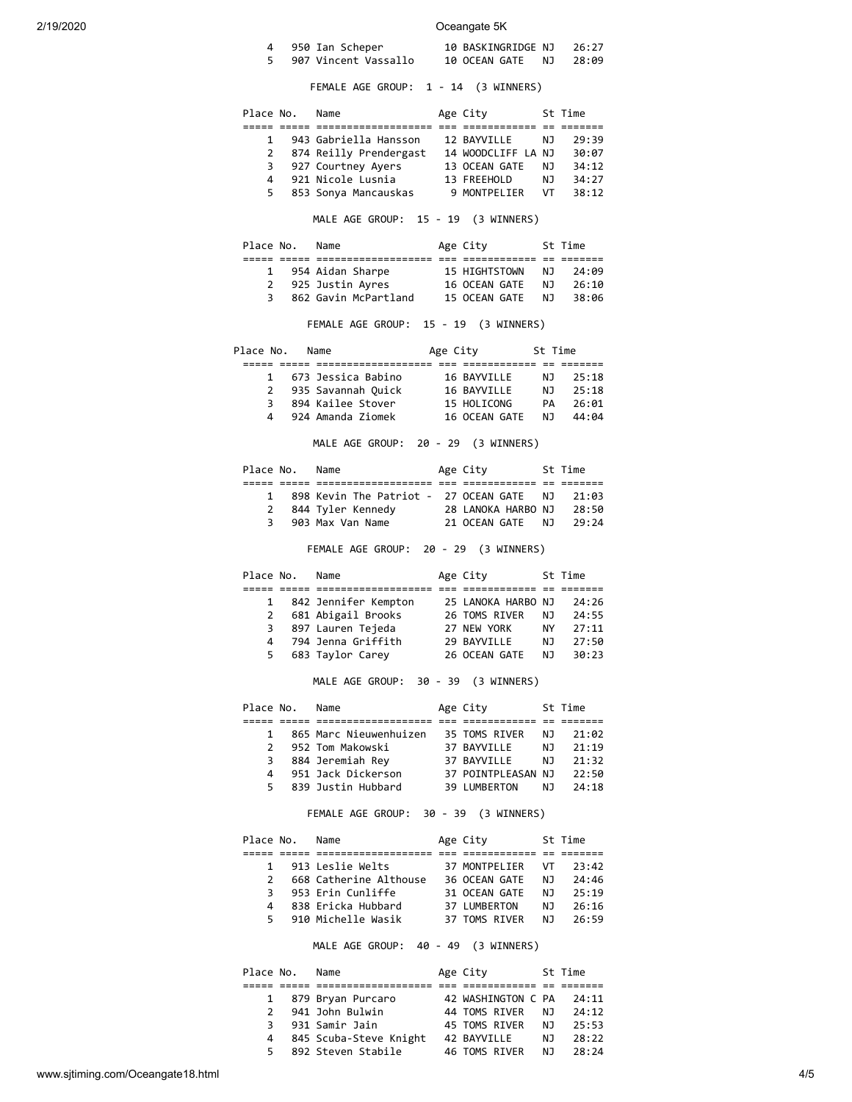## 2/19/2020 Oceangate 5K

| 4 950 Ian Scheper    | 10 BASKINGRIDGE NJ        | - 26 : 27 |
|----------------------|---------------------------|-----------|
| 907 Vincent Vassallo | 10 OCEAN GATE<br>NJ 28:09 |           |

FEMALE AGE GROUP: 1 - 14 (3 WINNERS)

|    | Place No. | Name                   | Age City           |     | St Time |
|----|-----------|------------------------|--------------------|-----|---------|
|    |           |                        |                    |     |         |
| 1  |           | 943 Gabriella Hansson  | 12 BAYVILLE        | NJ. | 29:39   |
| 2  |           | 874 Reilly Prendergast | 14 WOODCLIFF LA NJ |     | 30:07   |
| 3  |           | 927 Courtney Ayers     | 13 OCEAN GATE      | NJ. | 34:12   |
| Δ. |           | 921 Nicole Lusnia      | 13 FREEHOLD        | NJ. | 34:27   |
| 5. |           | 853 Sonya Mancauskas   | 9 MONTPELIER       | VT. | 38:12   |

### MALE AGE GROUP: 15 - 19 (3 WINNERS)

| Place No. | Name                 | Age City      |     | St Time |
|-----------|----------------------|---------------|-----|---------|
|           |                      |               |     |         |
|           | 1 954 Aidan Sharpe   | 15 HIGHTSTOWN | N J | 74:09   |
|           | 2 925 Justin Ayres   | 16 OCEAN GATE | N J | 26:10   |
| 3         | 862 Gavin McPartland | 15 OCEAN GATE | N J | 38:06   |

FEMALE AGE GROUP: 15 - 19 (3 WINNERS)

| Place No.    | Name                 | Age City |               | St Time |       |  |
|--------------|----------------------|----------|---------------|---------|-------|--|
|              |                      |          |               |         |       |  |
| $\mathbf{1}$ | 673 Jessica Babino   |          | 16 BAYVILLE   | NJ      | 25:18 |  |
|              | 2 935 Savannah Quick |          | 16 BAYVILLE   | N J     | 25:18 |  |
| 3            | 894 Kailee Stover    |          | 15 HOLICONG   | PА      | 26:01 |  |
| 4            | 924 Amanda Ziomek    |          | 16 OCEAN GATE | N٦      | 44:04 |  |

MALE AGE GROUP: 20 - 29 (3 WINNERS)

| Place No.    | Name                                     | Age City           | St Time |  |
|--------------|------------------------------------------|--------------------|---------|--|
|              |                                          |                    |         |  |
| $\mathbf{1}$ | 898 Kevin The Patriot - 27 OCEAN GATE NJ |                    | 21:03   |  |
| 2            | 844 Tyler Kennedy                        | 28 LANOKA HARBO NJ | 28:50   |  |
| 3            | 903 Max Van Name                         | 21 OCEAN GATE NJ   | 79:24   |  |
|              |                                          |                    |         |  |

FEMALE AGE GROUP: 20 - 29 (3 WINNERS)

| Place No.    | Name                 | Age City           |     | St Time |
|--------------|----------------------|--------------------|-----|---------|
|              |                      |                    |     |         |
| $\mathbf{1}$ | 842 Jennifer Kempton | 25 LANOKA HARBO NJ |     | 24:26   |
| 2            | 681 Abigail Brooks   | 26 TOMS RIVER      | NJ. | 24:55   |
| 3            | 897 Lauren Tejeda    | 27 NEW YORK        | NY. | 27:11   |
| 4            | 794 Jenna Griffith   | 29 BAYVTLLF        | NJ. | 27:50   |
| 5.           | 683 Taylor Carey     | 26 OCEAN GATE      | N J | 30:23   |

## MALE AGE GROUP: 30 - 39 (3 WINNERS)

| Place No.     | Name                   | Age City           |     | St Time |
|---------------|------------------------|--------------------|-----|---------|
|               |                        |                    |     |         |
| 1             | 865 Marc Nieuwenhuizen | 35 TOMS RIVER      | N J | 21:02   |
| $\mathcal{P}$ | 952 Tom Makowski       | 37 BAYVILLE        | N J | 21:19   |
| 3             | 884 Jeremiah Rey       | 37 BAYVILLE        | N J | 21:32   |
| 4             | 951 Jack Dickerson     | 37 POINTPLEASAN NJ |     | 22:50   |
| 5.            | 839 Justin Hubbard     | 39 LUMBERTON       | N J | 24:18   |

FEMALE AGE GROUP: 30 - 39 (3 WINNERS)

| Place No.     | Name                   | Age City      |     | St Time |
|---------------|------------------------|---------------|-----|---------|
|               |                        |               |     |         |
| 1             | 913 Leslie Welts       | 37 MONTPELIER | VT. | 23:42   |
| $\mathcal{P}$ | 668 Catherine Althouse | 36 OCEAN GATE | NJ. | 24:46   |
| 3.            | 953 Erin Cunliffe      | 31 OCEAN GATE | NJ. | 25:19   |
| 4             | 838 Ericka Hubbard     | 37 LUMBERTON  | N J | 26:16   |
| 5.            | 910 Michelle Wasik     | 37 TOMS RIVER | N J | 26:59   |
|               |                        |               |     |         |

MALE AGE GROUP: 40 - 49 (3 WINNERS)

| Place No.     | Name                   | Age City           |     | St Time |
|---------------|------------------------|--------------------|-----|---------|
|               |                        |                    |     |         |
|               | 1 879 Bryan Purcaro    | 42 WASHINGTON C PA |     | 24:11   |
| $\mathcal{P}$ | 941 John Bulwin        | 44 TOMS RIVER      | NJ. | 24:12   |
| 3             | 931 Samir Jain         | 45 TOMS RIVER      | N J | 25:53   |
| 4             | 845 Scuba-Steve Knight | 42 BAYVILLE        | NJ. | 28:22   |
| 5             | 892 Steven Stabile     | 46 TOMS RIVER      | NJ. | 28:24   |